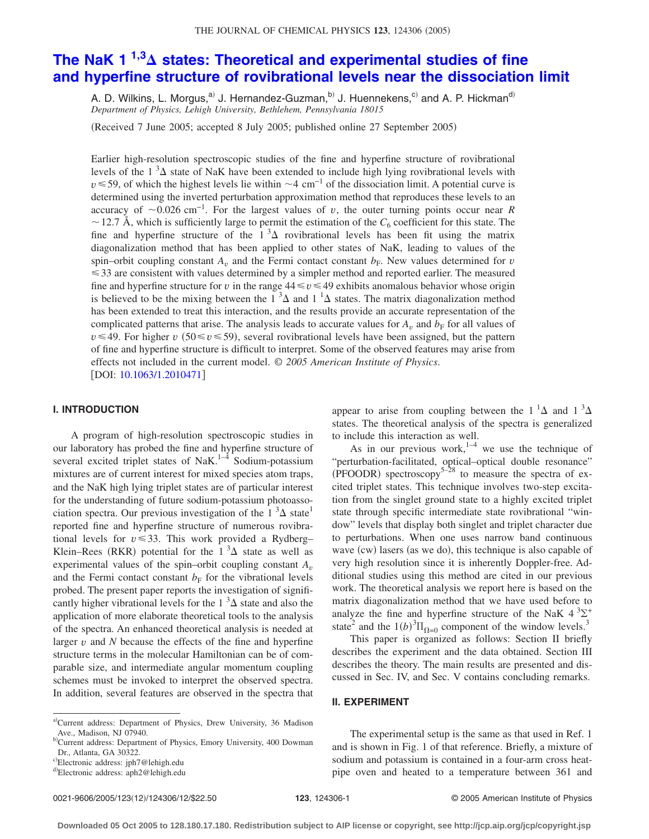# **The NaK 1 1,3 [states: Theoretical and experimental studies of fine](http://dx.doi.org/10.1063/1.2010471) [and hyperfine structure of rovibrational levels near the dissociation limit](http://dx.doi.org/10.1063/1.2010471)**

A. D. Wilkins, L. Morgus,<sup>a)</sup> J. Hernandez-Guzman,<sup>b)</sup> J. Huennekens,<sup>c)</sup> and A. P. Hickman<sup>d)</sup> *Department of Physics, Lehigh University, Bethlehem, Pennsylvania 18015*

Received 7 June 2005; accepted 8 July 2005; published online 27 September 2005-

Earlier high-resolution spectroscopic studies of the fine and hyperfine structure of rovibrational levels of the 1 ${}^{3}\Delta$  state of NaK have been extended to include high lying rovibrational levels with  $v \le 59$ , of which the highest levels lie within  $\sim$ 4 cm<sup>-1</sup> of the dissociation limit. A potential curve is determined using the inverted perturbation approximation method that reproduces these levels to an accuracy of  $\sim$ 0.026 cm<sup>-1</sup>. For the largest values of *v*, the outer turning points occur near *R*  $\sim$  12.7 Å, which is sufficiently large to permit the estimation of the  $C_6$  coefficient for this state. The fine and hyperfine structure of the  $1<sup>3</sup>\Delta$  rovibrational levels has been fit using the matrix diagonalization method that has been applied to other states of NaK, leading to values of the spin–orbit coupling constant  $A<sub>v</sub>$  and the Fermi contact constant  $b<sub>F</sub>$ . New values determined for *v* -33 are consistent with values determined by a simpler method and reported earlier. The measured fine and hyperfine structure for *v* in the range  $44 \le v \le 49$  exhibits anomalous behavior whose origin is believed to be the mixing between the  $1 \,^3\Delta$  and  $1 \,^1\Delta$  states. The matrix diagonalization method has been extended to treat this interaction, and the results provide an accurate representation of the complicated patterns that arise. The analysis leads to accurate values for  $A_n$  and  $b_F$  for all values of  $v \le 49$ . For higher *v* (50  $\le v \le 59$ ), several rovibrational levels have been assigned, but the pattern of fine and hyperfine structure is difficult to interpret. Some of the observed features may arise from effects not included in the current model. © *2005 American Institute of Physics*. DOI: [10.1063/1.2010471](http://dx.doi.org/10.1063/1.2010471)

### **I. INTRODUCTION**

A program of high-resolution spectroscopic studies in our laboratory has probed the fine and hyperfine structure of several excited triplet states of NaK.<sup>1–4</sup> Sodium-potassium mixtures are of current interest for mixed species atom traps, and the NaK high lying triplet states are of particular interest for the understanding of future sodium-potassium photoassociation spectra. Our previous investigation of the  $1^3\Delta$  state<sup>1</sup> reported fine and hyperfine structure of numerous rovibrational levels for  $v \leq 33$ . This work provided a Rydberg-Klein–Rees (RKR) potential for the  $1^3\Delta$  state as well as experimental values of the spin–orbit coupling constant  $A_v$ and the Fermi contact constant  $b_F$  for the vibrational levels probed. The present paper reports the investigation of significantly higher vibrational levels for the  $1<sup>3</sup>\Delta$  state and also the application of more elaborate theoretical tools to the analysis of the spectra. An enhanced theoretical analysis is needed at larger  $v$  and  $N$  because the effects of the fine and hyperfine structure terms in the molecular Hamiltonian can be of comparable size, and intermediate angular momentum coupling schemes must be invoked to interpret the observed spectra. In addition, several features are observed in the spectra that

appear to arise from coupling between the  $1^1\Delta$  and  $1^3\Delta$ states. The theoretical analysis of the spectra is generalized to include this interaction as well.

As in our previous work,<sup>1–4</sup> we use the technique of "perturbation-facilitated, optical–optical double resonance" (PFOODR) spectroscopy<sup>5–28</sup> to measure the spectra of excited triplet states. This technique involves two-step excitation from the singlet ground state to a highly excited triplet state through specific intermediate state rovibrational "window" levels that display both singlet and triplet character due to perturbations. When one uses narrow band continuous wave (cw) lasers (as we do), this technique is also capable of very high resolution since it is inherently Doppler-free. Additional studies using this method are cited in our previous work. The theoretical analysis we report here is based on the matrix diagonalization method that we have used before to analyze the fine and hyperfine structure of the NaK  $4^{3}\Sigma^{+}$ state<sup>2</sup> and the  $1(b)^3 \Pi_{\Omega=0}$  component of the window levels.<sup>3</sup>

This paper is organized as follows: Section II briefly describes the experiment and the data obtained. Section III describes the theory. The main results are presented and discussed in Sec. IV, and Sec. V contains concluding remarks.

# **II. EXPERIMENT**

The experimental setup is the same as that used in Ref. 1 and is shown in Fig. 1 of that reference. Briefly, a mixture of sodium and potassium is contained in a four-arm cross heatpipe oven and heated to a temperature between 361 and

a)Current address: Department of Physics, Drew University, 36 Madison Ave., Madison, NJ 07940.

<sup>&</sup>lt;sup>b)</sup>Current address: Department of Physics, Emory University, 400 Dowman Dr., Atlanta, GA 30322.

c)Electronic address: jph7@lehigh.edu

<sup>&</sup>lt;sup>d)</sup>Electronic address: aph2@lehigh.edu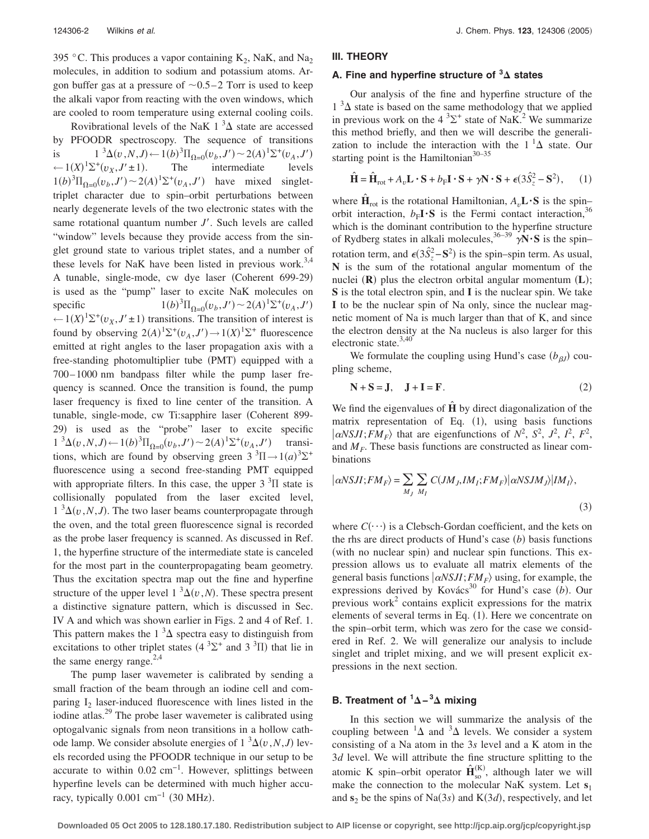395 °C. This produces a vapor containing  $K_2$ , NaK, and Na<sub>2</sub> molecules, in addition to sodium and potassium atoms. Argon buffer gas at a pressure of  $\sim 0.5-2$  Torr is used to keep the alkali vapor from reacting with the oven windows, which are cooled to room temperature using external cooling coils.

Rovibrational levels of the NaK  $1^3\Delta$  state are accessed by PFOODR spectroscopy. The sequence of transitions is  $1^3\Delta(v, N, J) \leftarrow 1(b)^3 \Pi_{\Omega=0}(v_b, J') \sim 2(A)^1 \Sigma^+(v_A, J')$  $\leftarrow$  1(*X*)<sup>1</sup> $\Sigma$ <sup>+</sup>(*v<sub>X</sub>*, *J'*  $\pm$  1) . The intermediate levels  $1(b)^3 \Pi_{\Omega=0}(v_b, J') \sim 2(A)^1 \Sigma^+(v_A, J')$  have mixed singlettriplet character due to spin–orbit perturbations between nearly degenerate levels of the two electronic states with the same rotational quantum number *J'*. Such levels are called "window" levels because they provide access from the singlet ground state to various triplet states, and a number of these levels for NaK have been listed in previous work.<sup>3,4</sup> A tunable, single-mode, cw dye laser (Coherent 699-29) is used as the "pump" laser to excite NaK molecules on specific 1*b*- $(2^{3}\Pi_{\Omega=0}(v_b, J') \sim 2(A)^{1}\Sigma^{+}(v_A, J')$  $(-1)(X)^{1} \Sigma^{+}(v_X, J' \pm 1)$  transitions. The transition of interest is found by observing  $2(A)^{1} \Sigma^{+}(v_A, J') \rightarrow 1(X)^{1} \Sigma^{+}$  fluorescence emitted at right angles to the laser propagation axis with a free-standing photomultiplier tube (PMT) equipped with a 700– 1000 nm bandpass filter while the pump laser frequency is scanned. Once the transition is found, the pump laser frequency is fixed to line center of the transition. A tunable, single-mode, cw Ti:sapphire laser Coherent 899- 29) is used as the "probe" laser to excite specific  $1^{3}\Delta(v, N, J) \leftarrow 1(b)^{3}\Pi_{\Omega=0}(v_{b}, J') \sim 2(A)^{1}\Sigma^{+}(v_{A}, J')$  transitions, which are found by observing green  $3 \times 3\text{H} \rightarrow 1(a) \times 3\text{H}^+$ fluorescence using a second free-standing PMT equipped with appropriate filters. In this case, the upper  $3<sup>3</sup>$ II state is collisionally populated from the laser excited level,  $1 \sqrt[3]{2(v, N, J)}$ . The two laser beams counterpropagate through the oven, and the total green fluorescence signal is recorded as the probe laser frequency is scanned. As discussed in Ref. 1, the hyperfine structure of the intermediate state is canceled for the most part in the counterpropagating beam geometry. Thus the excitation spectra map out the fine and hyperfine structure of the upper level  $1 \binom{3}{v}$ , *N*). These spectra present a distinctive signature pattern, which is discussed in Sec. IV A and which was shown earlier in Figs. 2 and 4 of Ref. 1. This pattern makes the  $1<sup>3</sup>\Delta$  spectra easy to distinguish from excitations to other triplet states  $(4^3\Sigma^+$  and  $3^3\Pi)$  that lie in the same energy range. $2,4$ 

The pump laser wavemeter is calibrated by sending a small fraction of the beam through an iodine cell and comparing  $I_2$  laser-induced fluorescence with lines listed in the iodine atlas.<sup>29</sup> The probe laser wavemeter is calibrated using optogalvanic signals from neon transitions in a hollow cathode lamp. We consider absolute energies of  $1 \sqrt[3]{2}(v, N, J)$  levels recorded using the PFOODR technique in our setup to be accurate to within  $0.02 \text{ cm}^{-1}$ . However, splittings between hyperfine levels can be determined with much higher accuracy, typically  $0.001 \text{ cm}^{-1}$  (30 MHz).

## **III. THEORY**

# **A. Fine and hyperfine structure of <sup>3</sup> states**

Our analysis of the fine and hyperfine structure of the  $1<sup>3</sup>\Delta$  state is based on the same methodology that we applied in previous work on the  $4 \, {}^{3}\Sigma^{+}$  state of NaK.<sup>2</sup> We summarize this method briefly, and then we will describe the generalization to include the interaction with the  $1^1\Delta$  state. Our starting point is the Hamiltonian $30-35$ 

$$
\hat{\mathbf{H}} = \hat{\mathbf{H}}_{\text{rot}} + A_v \mathbf{L} \cdot \mathbf{S} + b_{\text{F}} \mathbf{I} \cdot \mathbf{S} + \gamma \mathbf{N} \cdot \mathbf{S} + \epsilon (3\hat{S}_z^2 - \mathbf{S}^2), \qquad (1)
$$

where  $\mathbf{H}_{\text{rot}}$  is the rotational Hamiltonian,  $A_v \mathbf{L} \cdot \mathbf{S}$  is the spin– orbit interaction,  $b_F I \cdot S$  is the Fermi contact interaction,<sup>3</sup> which is the dominant contribution to the hyperfine structure of Rydberg states in alkali molecules,  $36-39$   $\sqrt{N} \cdot S$  is the spin– rotation term, and  $\epsilon(3\hat{S}_z^2 - S^2)$  is the spin–spin term. As usual, **N** is the sum of the rotational angular momentum of the nuclei (R) plus the electron orbital angular momentum (L); **S** is the total electron spin, and **I** is the nuclear spin. We take **I** to be the nuclear spin of Na only, since the nuclear magnetic moment of Na is much larger than that of K, and since the electron density at the Na nucleus is also larger for this electronic state.<sup>3,40</sup>

We formulate the coupling using Hund's case  $(b_{\beta} j)$  coupling scheme,

$$
N + S = J, \quad J + I = F. \tag{2}
$$

We find the eigenvalues of  $\hat{H}$  by direct diagonalization of the matrix representation of Eq. (1), using basis functions  $\langle \alpha NSJI; FM_F \rangle$  that are eigenfunctions of  $N^2$ ,  $S^2$ ,  $J^2$ ,  $I^2$ ,  $F^2$ , and  $M_F$ . These basis functions are constructed as linear combinations

$$
|\alpha NSJI; FM_F\rangle = \sum_{M_J} \sum_{M_I} C(JM_J, IM_I; FM_F) |\alpha NSJM_J\rangle |IM_I\rangle, \tag{3}
$$

where  $C(\cdot \cdot \cdot)$  is a Clebsch-Gordan coefficient, and the kets on the rhs are direct products of Hund's case (b) basis functions (with no nuclear spin) and nuclear spin functions. This expression allows us to evaluate all matrix elements of the general basis functions  $\alpha$ *NSJI*; *FM<sub>F</sub>* $\rangle$  using, for example, the expressions derived by Kovács<sup>30</sup> for Hund's case  $(b)$ . Our previous work<sup>2</sup> contains explicit expressions for the matrix elements of several terms in Eq. (1). Here we concentrate on the spin–orbit term, which was zero for the case we considered in Ref. 2. We will generalize our analysis to include singlet and triplet mixing, and we will present explicit expressions in the next section.

# **B.** Treatment of <sup>1</sup>∆−<sup>3</sup>∆ mixing

In this section we will summarize the analysis of the coupling between  ${}^{1}\Delta$  and  ${}^{3}\Delta$  levels. We consider a system consisting of a Na atom in the 3*s* level and a K atom in the 3*d* level. We will attribute the fine structure splitting to the atomic K spin–orbit operator  $\hat{\mathbf{H}}_{\text{so}}^{(K)}$  $K_{\rm so}^{(K)}$ , although later we will make the connection to the molecular NaK system. Let **s**<sup>1</sup> and  $s_2$  be the spins of Na(3*s*) and K(3*d*), respectively, and let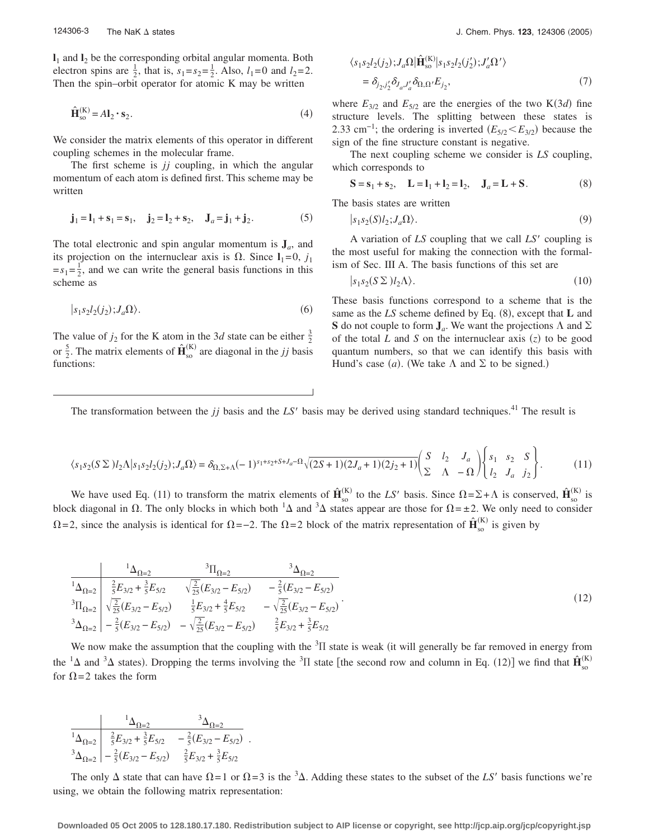$\mathbf{l}_1$  and  $\mathbf{l}_2$  be the corresponding orbital angular momenta. Both electron spins are  $\frac{1}{2}$ , that is,  $s_1 = s_2 = \frac{1}{2}$ . Also,  $l_1 = 0$  and  $l_2 = 2$ . Then the spin–orbit operator for atomic K may be written

$$
\hat{\mathbf{H}}_{\text{so}}^{(\text{K})} = A \mathbf{I}_2 \cdot \mathbf{s}_2. \tag{4}
$$

We consider the matrix elements of this operator in different coupling schemes in the molecular frame.

The first scheme is *jj* coupling, in which the angular momentum of each atom is defined first. This scheme may be written

$$
\mathbf{j}_1 = \mathbf{l}_1 + \mathbf{s}_1 = \mathbf{s}_1, \quad \mathbf{j}_2 = \mathbf{l}_2 + \mathbf{s}_2, \quad \mathbf{J}_a = \mathbf{j}_1 + \mathbf{j}_2.
$$
 (5)

The total electronic and spin angular momentum is  $J_a$ , and its projection on the internuclear axis is  $\Omega$ . Since  $I_1=0$ ,  $j_1$  $=s_1=\frac{1}{2}$ , and we can write the general basis functions in this scheme as

$$
|s_1 s_2 l_2(j_2); J_a \Omega \rangle. \tag{6}
$$

The value of  $j_2$  for the K atom in the 3*d* state can be either  $\frac{3}{2}$ or  $\frac{5}{2}$ . The matrix elements of  $\hat{\mathbf{H}}_{\text{so}}^{(K)}$  $\binom{K}{s_0}$  are diagonal in the *jj* basis functions:

$$
\langle s_1 s_2 l_2(j_2); J_a \Omega | \hat{\mathbf{H}}_{so}^{(K)} | s_1 s_2 l_2(j'_2); J'_a \Omega' \rangle
$$
  
=  $\delta_{j_2, j'_2} \delta_{J_a, J'_a} \delta_{\Omega, \Omega'} E_{j_2},$  (7)

where  $E_{3/2}$  and  $E_{5/2}$  are the energies of the two K(3*d*) fine structure levels. The splitting between these states is 2.33 cm<sup>-1</sup>; the ordering is inverted  $(E_{5/2} < E_{3/2})$  because the sign of the fine structure constant is negative.

The next coupling scheme we consider is *LS* coupling, which corresponds to

$$
S = s_1 + s_2, \quad L = l_1 + l_2 = l_2, \quad J_a = L + S. \tag{8}
$$

The basis states are written

$$
|s_1 s_2(S) l_2; J_a \Omega \rangle. \tag{9}
$$

A variation of *LS* coupling that we call *LS'* coupling is the most useful for making the connection with the formalism of Sec. III A. The basis functions of this set are

$$
|s_1 s_2 (S \Sigma) l_2 \Lambda\rangle. \tag{10}
$$

These basis functions correspond to a scheme that is the same as the LS scheme defined by Eq. (8), except that **L** and **S** do not couple to form  $J_a$ . We want the projections  $\Lambda$  and  $\Sigma$ of the total  $L$  and  $S$  on the internuclear axis  $(z)$  to be good quantum numbers, so that we can identify this basis with Hund's case (*a*). (We take  $\Lambda$  and  $\Sigma$  to be signed.)

The transformation between the  $jj$  basis and the  $LS'$  basis may be derived using standard techniques.<sup>41</sup> The result is

$$
\langle s_1 s_2 (S \Sigma) l_2 \Lambda | s_1 s_2 l_2(j_2) ; J_a \Omega \rangle = \delta_{\Omega, \Sigma + \Lambda} (-1)^{s_1 + s_2 + S + J_a - \Omega} \sqrt{(2S + 1)(2J_a + 1)(2j_2 + 1)} \begin{pmatrix} S & l_2 & J_a \\ \Sigma & \Lambda & -\Omega \end{pmatrix} \begin{Bmatrix} s_1 & s_2 & S \\ l_2 & J_a & j_2 \end{Bmatrix} . \tag{11}
$$

We have used Eq. (11) to transform the matrix elements of  $\hat{\mathbf{H}}_{\text{so}}^{(K)}$  $\mathbf{H}_{\text{so}}^{(\text{K})}$  to the LS' basis. Since  $\Omega = \Sigma + \Lambda$  is conserved,  $\hat{\mathbf{H}}_{\text{so}}^{(\text{K})}$  $\frac{K}{s_0}$  is block diagonal in  $\Omega$ . The only blocks in which both  ${}^1\Delta$  and  ${}^3\Delta$  states appear are those for  $\Omega = \pm 2$ . We only need to consider  $\Omega$ =2, since the analysis is identical for  $\Omega$ =−2. The  $\Omega$ =2 block of the matrix representation of  $\hat{H}^{(K)}_{\text{so}}$  $\frac{K}{s_0}$  is given by

$$
\frac{1_{\Delta_{\Omega=2}}}{1_{\Delta_{\Omega=2}}} \frac{{}^{3}\Pi_{\Omega=2}}{\frac{2}{5}E_{3/2} + \frac{3}{5}E_{5/2}} \frac{{}^{3}\Pi_{\Omega=2}}{\sqrt{\frac{2}{25}}(E_{3/2} - E_{5/2})} - \frac{2}{5}(E_{3/2} - E_{5/2})
$$
\n
$$
{}^{3}\Pi_{\Omega=2} \frac{{}^{3}\Pi_{\Omega=2}}{\sqrt{\frac{2}{25}}(E_{3/2} - E_{5/2})} \frac{1}{5}E_{3/2} + \frac{4}{5}E_{5/2} - \sqrt{\frac{2}{25}}(E_{3/2} - E_{5/2})
$$
\n
$$
{}^{3}\Delta_{\Omega=2} \left| -\frac{2}{5}(E_{3/2} - E_{5/2}) - \sqrt{\frac{2}{25}}(E_{3/2} - E_{5/2}) - \frac{2}{5}E_{3/2} + \frac{3}{5}E_{5/2} \right| \tag{12}
$$

We now make the assumption that the coupling with the  ${}^{3}$ II state is weak (it will generally be far removed in energy from the <sup>1</sup> $\Delta$  and <sup>3</sup> $\Delta$  states). Dropping the terms involving the <sup>3</sup> $\Pi$  state [the second row and column in Eq. (12)] we find that  $\hat{H}_{so}^{(K)}$  $(K)$ for  $\Omega = 2$  takes the form

$$
\begin{array}{c|cc}\n & \frac{1_{\Delta_{\Omega=2}}}{1_{\Delta_{\Omega=2}}}\n & \frac{3_{\Delta_{\Omega=2}}}{1_{\Delta_{\Omega=2}}}\n \end{array}
$$
\n
$$
\begin{array}{c|cc}\n & \frac{2}{5}E_{3/2} + \frac{3}{5}E_{5/2} & -\frac{2}{5}(E_{3/2} - E_{5/2}) \\
 & \frac{2}{5}E_{3/2} + \frac{3}{5}E_{5/2}\n\end{array}
$$

The only  $\Delta$  state that can have  $\Omega = 1$  or  $\Omega = 3$  is the <sup>3</sup> $\Delta$ . Adding these states to the subset of the *LS'* basis functions we're using, we obtain the following matrix representation: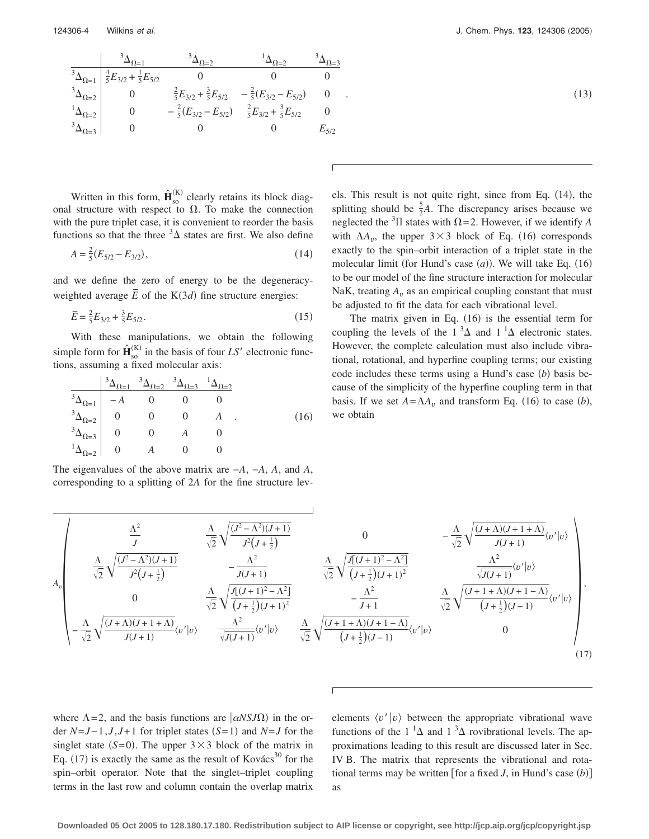$$
\begin{array}{c|ccccc}\n & & \frac{3_{\Delta_{\Omega=1}}}{3_{\Delta_{\Omega=1}}} & & \frac{3_{\Delta_{\Omega=2}}}{3_{\Delta_{\Omega=1}}} & & \frac{3_{\Delta_{\Omega=2}}}{3_{\Delta_{\Omega=3}}} \\
 & & \frac{3_{\Delta_{\Omega=1}}}{3_{\Delta_{\Omega=2}}} & & 0 & 0 & 0 \\
 & & & \frac{2}{5}E_{3/2} + \frac{3}{5}E_{5/2} & -\frac{2}{5}(E_{3/2} - E_{5/2}) & 0 \\
 & & & \frac{1}{\Delta_{\Omega=2}} \\
 & & 0 & & -\frac{2}{5}(E_{3/2} - E_{5/2}) & & \frac{2}{5}E_{3/2} + \frac{3}{5}E_{5/2} & 0 \\
 & & & 0 & & 0 & E_{5/2}\n\end{array}
$$

Written in this form,  $\hat{\mathbf{H}}_{\text{so}}^{(K)}$  $\frac{K}{N}$  clearly retains its block diagonal structure with respect to  $\Omega$ . To make the connection with the pure triplet case, it is convenient to reorder the basis functions so that the three  ${}^{3}\Delta$  states are first. We also define

$$
A = \frac{2}{5}(E_{5/2} - E_{3/2}),\tag{14}
$$

and we define the zero of energy to be the degeneracyweighted average  $\overline{E}$  of the K(3*d*) fine structure energies:

$$
\overline{E} = \frac{2}{5}E_{3/2} + \frac{3}{5}E_{5/2}.
$$
 (15)

With these manipulations, we obtain the following simple form for  $\mathbf{\hat{H}}^{(K)}_{\rm{so}}$  $_{\rm{so}}^{(\rm{K})}$  in the basis of four *LS'* electronic functions, assuming a fixed molecular axis:

$$
\begin{array}{c|cccc}\n & \frac{3\Delta_{\Omega=1} & 3\Delta_{\Omega=2} & 3\Delta_{\Omega=3} & 1\Delta_{\Omega=2}}{3\Delta_{\Omega=1} & -A & 0 & 0 & 0 \\
 & \frac{3\Delta_{\Omega=2}}{2} & 0 & 0 & 0 & A \\
 & \frac{3\Delta_{\Omega=3}}{2} & 0 & 0 & A & 0 \\
 & \frac{1\Delta_{\Omega=2}}{2} & 0 & A & 0 & 0\n\end{array} \tag{16}
$$

The eigenvalues of the above matrix are −*A*, −*A*, *A*, and *A*, corresponding to a splitting of 2*A* for the fine structure lev-

$$
\tag{13}
$$

els. This result is not quite right, since from Eq. (14), the splitting should be  $\frac{5}{2}A$ . The discrepancy arises because we neglected the <sup>3</sup> $\Pi$  states with  $\Omega = 2$ . However, if we identify *A* with  $\Lambda A_v$ , the upper  $3 \times 3$  block of Eq. (16) corresponds exactly to the spin–orbit interaction of a triplet state in the molecular limit (for Hund's case  $(a)$ ). We will take Eq.  $(16)$ to be our model of the fine structure interaction for molecular NaK, treating  $A_v$  as an empirical coupling constant that must be adjusted to fit the data for each vibrational level.

The matrix given in Eq. (16) is the essential term for coupling the levels of the  $1^3\Delta$  and  $1^1\Delta$  electronic states. However, the complete calculation must also include vibrational, rotational, and hyperfine coupling terms; our existing code includes these terms using a Hund's case (b) basis because of the simplicity of the hyperfine coupling term in that basis. If we set  $A = \Lambda A_v$  and transform Eq. (16) to case (*b*), we obtain

$$
A_{v} \begin{bmatrix} \frac{\Lambda^{2}}{J} & \frac{\Lambda}{\sqrt{2}} \sqrt{\frac{(J^{2} - \Lambda^{2})(J + 1)}{J^{2}(J + \frac{1}{2})}} & 0 & -\frac{\Lambda}{\sqrt{2}} \sqrt{\frac{(J + \Lambda)(J + 1 + \Lambda)}{J(J + 1)}} \frac{\Lambda^{2}}{J^{2}(J + \frac{1}{2})} & -\frac{\Lambda^{2}}{J(J + 1)} & \frac{\Lambda^{2}}{\sqrt{2}} \sqrt{\frac{J[(J + 1)^{2} - \Lambda^{2}]}{J(J + 1)^{2}}} & \frac{\Lambda^{2}}{\sqrt{2}} \sqrt{\frac{J[(J + 1)^{2} - \Lambda^{2}]}{J(J + 1)^{2}}} & \frac{\Lambda^{2}}{\sqrt{J(J + 1)}} \langle v'|v \rangle \\ 0 & \frac{\Lambda}{\sqrt{2}} \sqrt{\frac{J[(J + 1)^{2} - \Lambda^{2}]}{J(J + 1)^{2}}} & -\frac{\Lambda^{2}}{J + 1} & \frac{\Lambda}{\sqrt{2}} \sqrt{\frac{(J + 1 + \Lambda)(J + 1 - \Lambda)}{J(J + 1)}} \langle v'|v \rangle \\ -\frac{\Lambda}{\sqrt{2}} \sqrt{\frac{(J + \Lambda)(J + 1 + \Lambda)}{J(J + 1)}} \langle v'|v \rangle & \frac{\Lambda^{2}}{\sqrt{J(J + 1)}} \langle v'|v \rangle & \frac{\Lambda}{\sqrt{2}} \sqrt{\frac{(J + 1 + \Lambda)(J + 1 - \Lambda)}{J + 1}} \langle v'|v \rangle & 0 \end{bmatrix}, \tag{17}
$$

where  $\Lambda = 2$ , and the basis functions are  $\langle \alpha NSJ\Omega \rangle$  in the order  $N=J-1, J, J+1$  for triplet states  $(S=1)$  and  $N=J$  for the singlet state  $(S=0)$ . The upper  $3 \times 3$  block of the matrix in Eq. (17) is exactly the same as the result of Kovács<sup>30</sup> for the spin–orbit operator. Note that the singlet–triplet coupling terms in the last row and column contain the overlap matrix

elements  $\langle v' | v \rangle$  between the appropriate vibrational wave functions of the  $1^1\Delta$  and  $1^3\Delta$  rovibrational levels. The approximations leading to this result are discussed later in Sec. IV B. The matrix that represents the vibrational and rotational terms may be written [for a fixed  $J$ , in Hund's case  $(b)$ ] as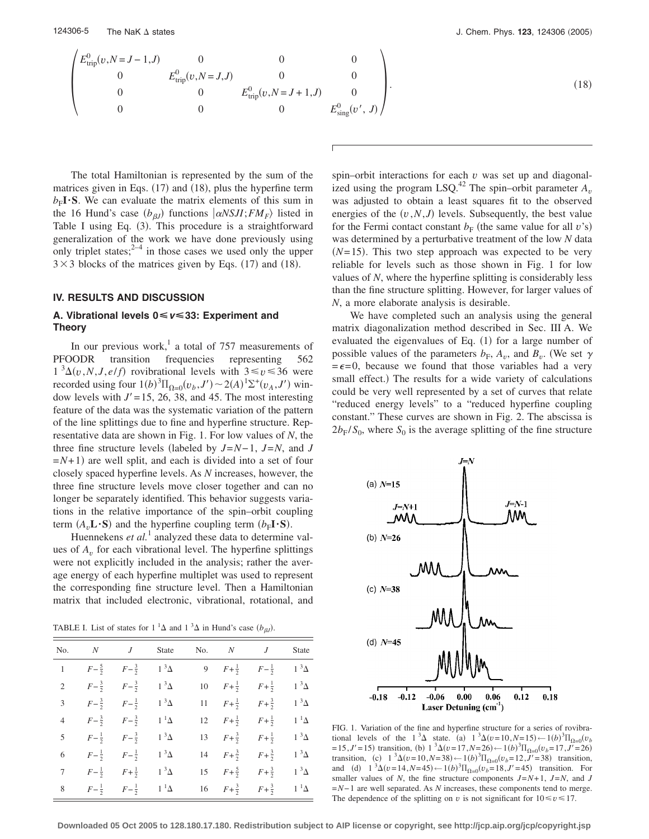$$
\begin{pmatrix}\nE_{\text{trip}}^{0}(v, N=J-1, J) & 0 & 0 & 0 \\
0 & E_{\text{trip}}^{0}(v, N=J, J) & 0 & 0 \\
0 & 0 & E_{\text{trip}}^{0}(v, N=J+1, J) & 0 \\
0 & 0 & 0 & E_{\text{sing}}^{0}(v', J)\n\end{pmatrix}.
$$
\n(18)

The total Hamiltonian is represented by the sum of the matrices given in Eqs. (17) and (18), plus the hyperfine term  $b_F I \cdot S$ . We can evaluate the matrix elements of this sum in the 16 Hund's case  $(b_{\beta}$  functions  $\ket{\alpha}$ *NSJI*;*FM<sub>F</sub>* $\rangle$  listed in Table I using Eq. (3). This procedure is a straightforward generalization of the work we have done previously using only triplet states;  $2^{-4}$  in those cases we used only the upper  $3 \times 3$  blocks of the matrices given by Eqs. (17) and (18).

#### **IV. RESULTS AND DISCUSSION**

## **A. Vibrational levels 0Ï***v***Ï33: Experiment and Theory**

In our previous work,<sup>1</sup> a total of 757 measurements of PFOODR transition frequencies representing 562  $1^{3}\Delta(v, N, J, e/f)$  rovibrational levels with  $3 \le v \le 36$  were recorded using four  $1(b)^3 \Pi_{\Omega=0}(v_b, J') \sim 2(A)^1 \Sigma^+(v_A, J')$  window levels with  $J'$  = 15, 26, 38, and 45. The most interesting feature of the data was the systematic variation of the pattern of the line splittings due to fine and hyperfine structure. Representative data are shown in Fig. 1. For low values of *N*, the three fine structure levels (labeled by  $J=N-1$ ,  $J=N$ , and *J*  $=N+1$ ) are well split, and each is divided into a set of four closely spaced hyperfine levels. As *N* increases, however, the three fine structure levels move closer together and can no longer be separately identified. This behavior suggests variations in the relative importance of the spin–orbit coupling term  $(A_v \mathbf{L} \cdot \mathbf{S})$  and the hyperfine coupling term  $(b_F \mathbf{I} \cdot \mathbf{S})$ .

Huennekens *et al.*<sup>1</sup> analyzed these data to determine values of  $A<sub>v</sub>$  for each vibrational level. The hyperfine splittings were not explicitly included in the analysis; rather the average energy of each hyperfine multiplet was used to represent the corresponding fine structure level. Then a Hamiltonian matrix that included electronic, vibrational, rotational, and

TABLE I. List of states for  $1^1\Delta$  and  $1^3\Delta$  in Hund's case  $(b_{\beta}J)$ .

| No.            |                                                 |                                               | N J State No. N J |  |                                                                | <b>State</b> |
|----------------|-------------------------------------------------|-----------------------------------------------|-------------------|--|----------------------------------------------------------------|--------------|
|                | 1 $F-\frac{5}{2}$ $F-\frac{3}{2}$ $1^{3}\Delta$ |                                               |                   |  | 9 $F+\frac{1}{2}$ $F-\frac{1}{2}$ $1^{3}\Delta$                |              |
|                | 2 $F-\frac{3}{2}$ $F-\frac{3}{2}$ $1^{3}\Delta$ |                                               |                   |  | 10 $F + \frac{1}{2}$ $F + \frac{1}{2}$ $1^{3}\Delta$           |              |
|                | 3 $F-\frac{3}{2}$ $F-\frac{1}{2}$ $1^{3}\Delta$ |                                               |                   |  | 11 $F + \frac{1}{2}$ $F + \frac{3}{2}$ 1 <sup>3</sup> $\Delta$ |              |
| $\overline{4}$ | $F-\frac{3}{2}$ $F-\frac{3}{2}$ $1^{1}\Delta$   |                                               |                   |  | 12 $F+\frac{1}{2}$ $F+\frac{1}{2}$                             | $1^1\Delta$  |
|                | 5 $F-\frac{1}{2}$ $F-\frac{3}{2}$ $1^{3}\Delta$ |                                               |                   |  | 13 $F+\frac{3}{2}$ $F+\frac{1}{2}$                             | $1^3\Delta$  |
| 6              |                                                 | $F-\frac{1}{2}$ $F-\frac{1}{2}$ $1^{3}\Delta$ |                   |  | 14 $F+\frac{3}{2}$ $F+\frac{3}{2}$                             | $1^3\Delta$  |
| $\tau$         |                                                 | $F-\frac{1}{2}$ $F+\frac{1}{2}$ $1^{3}\Delta$ |                   |  | 15 $F+\frac{5}{2}$ $F+\frac{3}{2}$                             | $1^3\Delta$  |
| 8              |                                                 | $F-\frac{1}{2}$ $F-\frac{1}{2}$ $1^{1}\Delta$ |                   |  | 16 $F + \frac{3}{2}$ $F + \frac{3}{2}$ $1^{1}\Delta$           |              |

spin–orbit interactions for each *v* was set up and diagonalized using the program LSQ.<sup>42</sup> The spin–orbit parameter  $A<sub>v</sub>$ was adjusted to obtain a least squares fit to the observed energies of the  $(v, N, J)$  levels. Subsequently, the best value for the Fermi contact constant  $b_F$  (the same value for all *v*'s) was determined by a perturbative treatment of the low *N* data  $(N=15)$ . This two step approach was expected to be very reliable for levels such as those shown in Fig. 1 for low values of *N*, where the hyperfine splitting is considerably less than the fine structure splitting. However, for larger values of *N*, a more elaborate analysis is desirable.

We have completed such an analysis using the general matrix diagonalization method described in Sec. III A. We evaluated the eigenvalues of Eq. (1) for a large number of possible values of the parameters  $b_F$ ,  $A_v$ , and  $B_v$ . (We set  $\gamma$  $=\epsilon = 0$ , because we found that those variables had a very small effect.) The results for a wide variety of calculations could be very well represented by a set of curves that relate "reduced energy levels" to a "reduced hyperfine coupling constant." These curves are shown in Fig. 2. The abscissa is  $2b_F/S_0$ , where  $S_0$  is the average splitting of the fine structure



FIG. 1. Variation of the fine and hyperfine structure for a series of rovibrational levels of the  $1^{3}\Delta$  state. (a)  $1^{3}\Delta(v=10, N=15) \leftarrow 1(b)^{3}\Pi_{\Omega=0}(v_{b})$  $= 15, J' = 15$  transition, (b)  $1 \frac{3}{4}(v = 17, N = 26) \leftarrow 1(b)^{3} \Pi_{\Omega=0}(v_b = 17, J' = 26)$ transition, (c)  $1^{3}\Delta(v=10, N=38) \leftarrow 1(b)^{3}\Pi_{\Omega=0}(v_b=12, J'=38)$  transition, and (d)  $1^3\Delta(v=14, N=45) \leftarrow 1(b)^3\Pi_{\Omega=0}(v_b=18, J'=45)$  transition. For smaller values of *N*, the fine structure components  $J=N+1$ ,  $J=N$ , and *J* =*N*− 1 are well separated. As *N* increases, these components tend to merge. The dependence of the splitting on *v* is not significant for  $10 \le v \le 17$ .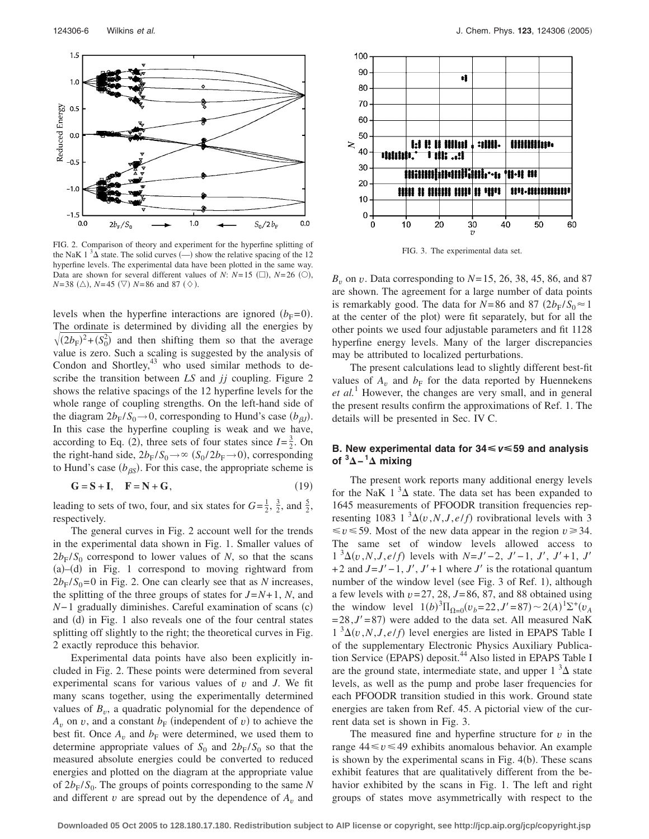

FIG. 2. Comparison of theory and experiment for the hyperfine splitting of the NaK 1<sup>3</sup> $\Delta$  state. The solid curves  $\left(\frac{1}{2}\right)$  show the relative spacing of the 12 hyperfine levels. The experimental data have been plotted in the same way. Data are shown for several different values of *N*:  $N=15$  ( $\square$ ),  $N=26$  ( $\square$ ),  $N = 38$  ( $\triangle$ ),  $N = 45$  ( $\triangledown$ )  $N = 86$  and 87 ( $\diamondsuit$ ).

levels when the hyperfine interactions are ignored  $(b_F=0)$ . The ordinate is determined by dividing all the energies by  $\sqrt{(2b_F)^2 + (S_0^2)}$  and then shifting them so that the average value is zero. Such a scaling is suggested by the analysis of Condon and Shortley, $43$  who used similar methods to describe the transition between *LS* and *jj* coupling. Figure 2 shows the relative spacings of the 12 hyperfine levels for the whole range of coupling strengths. On the left-hand side of the diagram  $2b_F/S_0 \rightarrow 0$ , corresponding to Hund's case  $(b_{\beta J})$ . In this case the hyperfine coupling is weak and we have, according to Eq. (2), three sets of four states since  $I = \frac{3}{2}$ . On the right-hand side,  $2b_F/S_0 \rightarrow \infty$   $(S_0/2b_F \rightarrow 0)$ , corresponding to Hund's case  $(b_{\beta S})$ . For this case, the appropriate scheme is

$$
\mathbf{G} = \mathbf{S} + \mathbf{I}, \quad \mathbf{F} = \mathbf{N} + \mathbf{G}, \tag{19}
$$

leading to sets of two, four, and six states for  $G = \frac{1}{2}$ ,  $\frac{3}{2}$ , and  $\frac{5}{2}$ , respectively.

The general curves in Fig. 2 account well for the trends in the experimental data shown in Fig. 1. Smaller values of  $2b_F/S_0$  correspond to lower values of *N*, so that the scans (a)-(d) in Fig. 1 correspond to moving rightward from  $2b_F/S_0 = 0$  in Fig. 2. One can clearly see that as *N* increases, the splitting of the three groups of states for  $J=N+1$ , N, and *N*−1 gradually diminishes. Careful examination of scans (c) and (d) in Fig. 1 also reveals one of the four central states splitting off slightly to the right; the theoretical curves in Fig. 2 exactly reproduce this behavior.

Experimental data points have also been explicitly included in Fig. 2. These points were determined from several experimental scans for various values of *v* and *J*. We fit many scans together, using the experimentally determined values of  $B_v$ , a quadratic polynomial for the dependence of  $A_v$  on *v*, and a constant  $b_F$  (independent of *v*) to achieve the best fit. Once  $A_v$  and  $b_F$  were determined, we used them to determine appropriate values of  $S_0$  and  $2b_F/S_0$  so that the measured absolute energies could be converted to reduced energies and plotted on the diagram at the appropriate value of  $2b_F/S_0$ . The groups of points corresponding to the same N and different  $v$  are spread out by the dependence of  $A_v$  and



FIG. 3. The experimental data set.

*B*<sup>*v*</sup> on *v*. Data corresponding to  $N=15$ , 26, 38, 45, 86, and 87 are shown. The agreement for a large number of data points is remarkably good. The data for  $N=86$  and  $87 (2b_E/S_0 \approx 1$ at the center of the plot) were fit separately, but for all the other points we used four adjustable parameters and fit 1128 hyperfine energy levels. Many of the larger discrepancies may be attributed to localized perturbations.

The present calculations lead to slightly different best-fit values of  $A_v$  and  $b_F$  for the data reported by Huennekens *et al.*<sup>1</sup> However, the changes are very small, and in general the present results confirm the approximations of Ref. 1. The details will be presented in Sec. IV C.

# **B.** New experimental data for  $34 \le v \le 59$  and analysis **of <sup>3</sup> −<sup>1</sup> mixing**

The present work reports many additional energy levels for the NaK  $1 \, 3\Delta$  state. The data set has been expanded to 1645 measurements of PFOODR transition frequencies representing 1083 1<sup>3</sup> $\Delta$ (*v*,*N*,*J*,*e*/*f*) rovibrational levels with 3  $\leq v \leq 59$ . Most of the new data appear in the region  $v \geq 34$ . The same set of window levels allowed access to  $1^{3}\Delta(v, N, J, e/f)$  levels with  $N=J'-2$ ,  $J'-1$ ,  $J', J'+1$ ,  $J'$ +2 and  $J=J'-1$ ,  $J', J'+1$  where  $J'$  is the rotational quantum number of the window level (see Fig. 3 of Ref. 1), although a few levels with  $v = 27$ , 28,  $J = 86$ , 87, and 88 obtained using the window level  $1(b)^3 \Pi_{\Omega=0} (v_b = 22, J' = 87) \sim 2(A)^1 \Sigma^+ (v_A)$  $= 28, J' = 87$  were added to the data set. All measured NaK  $1 \sqrt[3]{2(v, N, J, e/f)}$  level energies are listed in EPAPS Table I of the supplementary Electronic Physics Auxiliary Publication Service (EPAPS) deposit.<sup>44</sup> Also listed in EPAPS Table I are the ground state, intermediate state, and upper  $1 \, \mathrm{^3\Delta}$  state levels, as well as the pump and probe laser frequencies for each PFOODR transition studied in this work. Ground state energies are taken from Ref. 45. A pictorial view of the current data set is shown in Fig. 3.

The measured fine and hyperfine structure for *v* in the range  $44 \le v \le 49$  exhibits anomalous behavior. An example is shown by the experimental scans in Fig. 4(b). These scans exhibit features that are qualitatively different from the behavior exhibited by the scans in Fig. 1. The left and right groups of states move asymmetrically with respect to the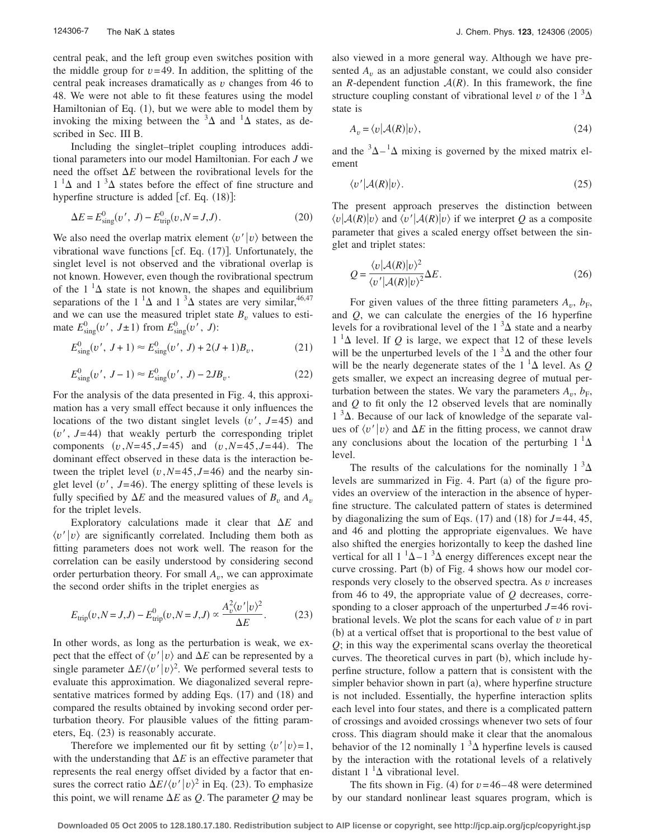central peak, and the left group even switches position with the middle group for  $v = 49$ . In addition, the splitting of the central peak increases dramatically as *v* changes from 46 to 48. We were not able to fit these features using the model Hamiltonian of Eq. (1), but we were able to model them by invoking the mixing between the  ${}^{3}\Delta$  and  ${}^{1}\Delta$  states, as described in Sec. III B.

Including the singlet–triplet coupling introduces additional parameters into our model Hamiltonian. For each *J* we need the offset  $\Delta E$  between the rovibrational levels for the  $1^1\Delta$  and  $1^3\Delta$  states before the effect of fine structure and hyperfine structure is added  $[cf. Eq. (18)]$ :

$$
\Delta E = E_{\text{sing}}^{0}(v', J) - E_{\text{trip}}^{0}(v, N = J, J). \tag{20}
$$

We also need the overlap matrix element  $\langle v' | v \rangle$  between the vibrational wave functions [cf. Eq. (17)]. Unfortunately, the singlet level is not observed and the vibrational overlap is not known. However, even though the rovibrational spectrum of the  $1^1\Delta$  state is not known, the shapes and equilibrium separations of the 1<sup>1</sup> $\Delta$  and 1<sup>3</sup> $\Delta$  states are very similar,<sup>46,47</sup> and we can use the measured triplet state  $B<sub>v</sub>$  values to estimate  $E_{\text{sing}}^0(v', J \pm 1)$  from  $E_{\text{sing}}^0(v', J)$ :

$$
E_{\rm sing}^{0}(v', J+1) \approx E_{\rm sing}^{0}(v', J) + 2(J+1)B_v, \tag{21}
$$

$$
E_{\rm sing}^0(v', J - 1) \approx E_{\rm sing}^0(v', J) - 2JB_v.
$$
 (22)

For the analysis of the data presented in Fig. 4, this approximation has a very small effect because it only influences the locations of the two distant singlet levels  $(v', J=45)$  and  $(v', J=44)$  that weakly perturb the corresponding triplet components  $(v, N=45, J=45)$  and  $(v, N=45, J=44)$ . The dominant effect observed in these data is the interaction between the triplet level  $(v, N=45, J=46)$  and the nearby singlet level  $(v', J=46)$ . The energy splitting of these levels is fully specified by  $\Delta E$  and the measured values of  $B_v$  and  $A_v$ for the triplet levels.

Exploratory calculations made it clear that  $\Delta E$  and  $\langle v' | v \rangle$  are significantly correlated. Including them both as fitting parameters does not work well. The reason for the correlation can be easily understood by considering second order perturbation theory. For small  $A_v$ , we can approximate the second order shifts in the triplet energies as

$$
E_{\rm trip}(v, N = J, J) - E_{\rm trip}^{0}(v, N = J, J) \propto \frac{A_v^2 \langle v' | v \rangle^2}{\Delta E}.
$$
 (23)

In other words, as long as the perturbation is weak, we expect that the effect of  $\langle v' | v \rangle$  and  $\Delta E$  can be represented by a single parameter  $\Delta E / \langle v' | v \rangle^2$ . We performed several tests to evaluate this approximation. We diagonalized several representative matrices formed by adding Eqs. (17) and (18) and compared the results obtained by invoking second order perturbation theory. For plausible values of the fitting parameters, Eq. (23) is reasonably accurate.

Therefore we implemented our fit by setting  $\langle v' | v \rangle = 1$ , with the understanding that  $\Delta E$  is an effective parameter that represents the real energy offset divided by a factor that ensures the correct ratio  $\Delta E / \langle v' | v \rangle^2$  in Eq. (23). To emphasize this point, we will rename  $\Delta E$  as Q. The parameter Q may be also viewed in a more general way. Although we have presented  $A<sub>v</sub>$  as an adjustable constant, we could also consider an *R*-dependent function  $A(R)$ . In this framework, the fine structure coupling constant of vibrational level *v* of the  $1 \frac{3\Delta}{2}$ state is

$$
A_v = \langle v | \mathcal{A}(R) | v \rangle, \tag{24}
$$

and the  ${}^{3}\Delta - {}^{1}\Delta$  mixing is governed by the mixed matrix element

$$
\langle v' | \mathcal{A}(R) | v \rangle. \tag{25}
$$

The present approach preserves the distinction between  $\langle v | A(R) | v \rangle$  and  $\langle v' | A(R) | v \rangle$  if we interpret *Q* as a composite parameter that gives a scaled energy offset between the singlet and triplet states:

$$
Q = \frac{\langle v | \mathcal{A}(R) | v \rangle^2}{\langle v' | \mathcal{A}(R) | v \rangle^2} \Delta E.
$$
 (26)

For given values of the three fitting parameters  $A_v$ ,  $b_F$ , and *Q*, we can calculate the energies of the 16 hyperfine levels for a rovibrational level of the  $1^3\Delta$  state and a nearby  $1<sup>1</sup>\Delta$  level. If *Q* is large, we expect that 12 of these levels will be the unperturbed levels of the  $1^3\Delta$  and the other four will be the nearly degenerate states of the  $1<sup>1</sup>\Delta$  level. As *Q* gets smaller, we expect an increasing degree of mutual perturbation between the states. We vary the parameters  $A_v$ ,  $b_F$ , and *Q* to fit only the 12 observed levels that are nominally  $1<sup>3</sup>\Delta$ . Because of our lack of knowledge of the separate values of  $\langle v' | v \rangle$  and  $\Delta E$  in the fitting process, we cannot draw any conclusions about the location of the perturbing  $1^{-1}\Delta$ level.

The results of the calculations for the nominally  $1^3\Delta$ levels are summarized in Fig. 4. Part (a) of the figure provides an overview of the interaction in the absence of hyperfine structure. The calculated pattern of states is determined by diagonalizing the sum of Eqs.  $(17)$  and  $(18)$  for  $J=44, 45$ , and 46 and plotting the appropriate eigenvalues. We have also shifted the energies horizontally to keep the dashed line vertical for all  $1 \Delta^{-1}$   $\Delta$  energy differences except near the curve crossing. Part (b) of Fig. 4 shows how our model corresponds very closely to the observed spectra. As *v* increases from 46 to 49, the appropriate value of *Q* decreases, corresponding to a closer approach of the unperturbed *J*= 46 rovibrational levels. We plot the scans for each value of *v* in part (b) at a vertical offset that is proportional to the best value of *Q*; in this way the experimental scans overlay the theoretical curves. The theoretical curves in part (b), which include hyperfine structure, follow a pattern that is consistent with the simpler behavior shown in part (a), where hyperfine structure is not included. Essentially, the hyperfine interaction splits each level into four states, and there is a complicated pattern of crossings and avoided crossings whenever two sets of four cross. This diagram should make it clear that the anomalous behavior of the 12 nominally  $1 \, \mathrm{^3\Delta}$  hyperfine levels is caused by the interaction with the rotational levels of a relatively distant  $1^{-1}\Delta$  vibrational level.

The fits shown in Fig. (4) for  $v = 46 - 48$  were determined by our standard nonlinear least squares program, which is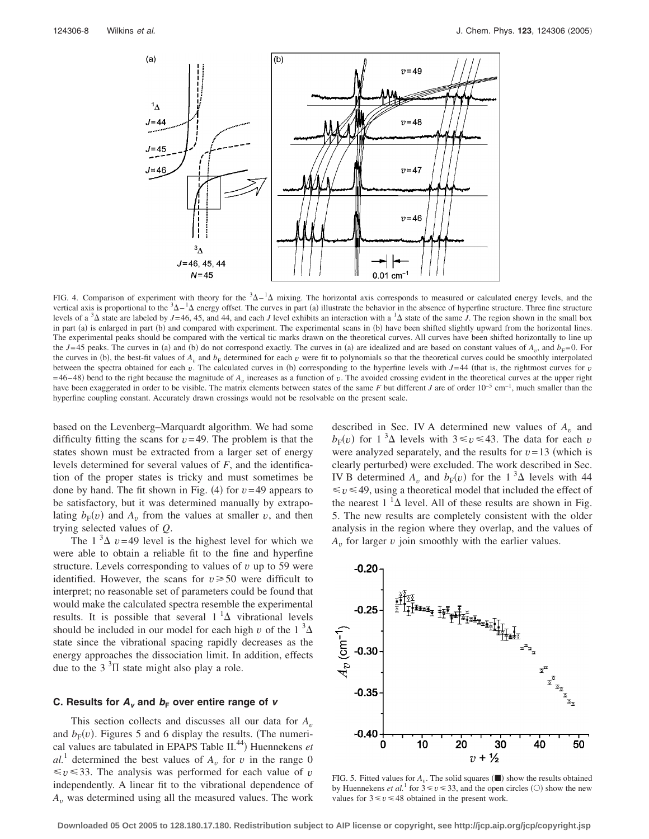

FIG. 4. Comparison of experiment with theory for the  $3\Delta - 1\Delta$  mixing. The horizontal axis corresponds to measured or calculated energy levels, and the vertical axis is proportional to the  ${}^{3}\Delta - {}^{1}\Delta$  energy offset. The curves in part (a) illustrate the behavior in the absence of hyperfine structure. Three fine structure levels of a  ${}^{3}\Delta$  state are labeled by *J*=46, 45, and 44, and each *J* level exhibits an interaction with a  ${}^{1}\Delta$  state of the same *J*. The region shown in the small box in part (a) is enlarged in part (b) and compared with experiment. The experimental scans in (b) have been shifted slightly upward from the horizontal lines. The experimental peaks should be compared with the vertical tic marks drawn on the theoretical curves. All curves have been shifted horizontally to line up the  $J=45$  peaks. The curves in (a) and (b) do not correspond exactly. The curves in (a) are idealized and are based on constant values of  $A_v$ , and  $b_F=0$ . For the curves in (b), the best-fit values of  $A_v$  and  $b_F$  determined for each  $v$  were fit to polynomials so that the theoretical curves could be smoothly interpolated between the spectra obtained for each  $v$ . The calculated curves in (b) corresponding to the hyperfine levels with  $J=44$  (that is, the rightmost curves for  $v$  $=$  46–48) bend to the right because the magnitude of  $A<sub>v</sub>$  increases as a function of *v*. The avoided crossing evident in the theoretical curves at the upper right have been exaggerated in order to be visible. The matrix elements between states of the same *F* but different *J* are of order 10−5 cm−1, much smaller than the hyperfine coupling constant. Accurately drawn crossings would not be resolvable on the present scale.

based on the Levenberg–Marquardt algorithm. We had some difficulty fitting the scans for  $v = 49$ . The problem is that the states shown must be extracted from a larger set of energy levels determined for several values of *F*, and the identification of the proper states is tricky and must sometimes be done by hand. The fit shown in Fig.  $(4)$  for  $v = 49$  appears to be satisfactory, but it was determined manually by extrapolating  $b_F(v)$  and  $A_v$  from the values at smaller *v*, and then trying selected values of *Q*.

The  $1 \, \mathrm{^3\Delta}$  *v*=49 level is the highest level for which we were able to obtain a reliable fit to the fine and hyperfine structure. Levels corresponding to values of *v* up to 59 were identified. However, the scans for  $v \ge 50$  were difficult to interpret; no reasonable set of parameters could be found that would make the calculated spectra resemble the experimental results. It is possible that several  $1^1\Delta$  vibrational levels should be included in our model for each high *v* of the  $1 \frac{3}{4}$ state since the vibrational spacing rapidly decreases as the energy approaches the dissociation limit. In addition, effects due to the 3 $3\overline{1}$  state might also play a role.

## **C.** Results for  $A_v$  and  $b_F$  over entire range of *v*

This section collects and discusses all our data for *A<sup>v</sup>* and  $b_F(v)$ . Figures 5 and 6 display the results. (The numerical values are tabulated in EPAPS Table II.<sup>44</sup>) Huennekens *et*  $al<sup>1</sup>$  determined the best values of  $A<sub>v</sub>$  for *v* in the range 0  $\le v \le 33$ . The analysis was performed for each value of *v* independently. A linear fit to the vibrational dependence of *A<sup>v</sup>* was determined using all the measured values. The work described in Sec. IV A determined new values of  $A<sub>v</sub>$  and  $b_F(v)$  for  $1^3\Delta$  levels with  $3 \le v \le 43$ . The data for each *v* were analyzed separately, and the results for  $v = 13$  (which is clearly perturbed) were excluded. The work described in Sec. IV B determined  $A_v$  and  $b_F(v)$  for the 1<sup>3</sup> $\Delta$  levels with 44  $\leq v \leq 49$ , using a theoretical model that included the effect of the nearest  $1^{-1}\Delta$  level. All of these results are shown in Fig. 5. The new results are completely consistent with the older analysis in the region where they overlap, and the values of *A<sup>v</sup>* for larger *v* join smoothly with the earlier values.



FIG. 5. Fitted values for  $A_v$ . The solid squares  $(\blacksquare)$  show the results obtained by Huennekens *et al.*<sup>1</sup> for  $3 \le v \le 33$ , and the open circles (O) show the new values for  $3 \le v \le 48$  obtained in the present work.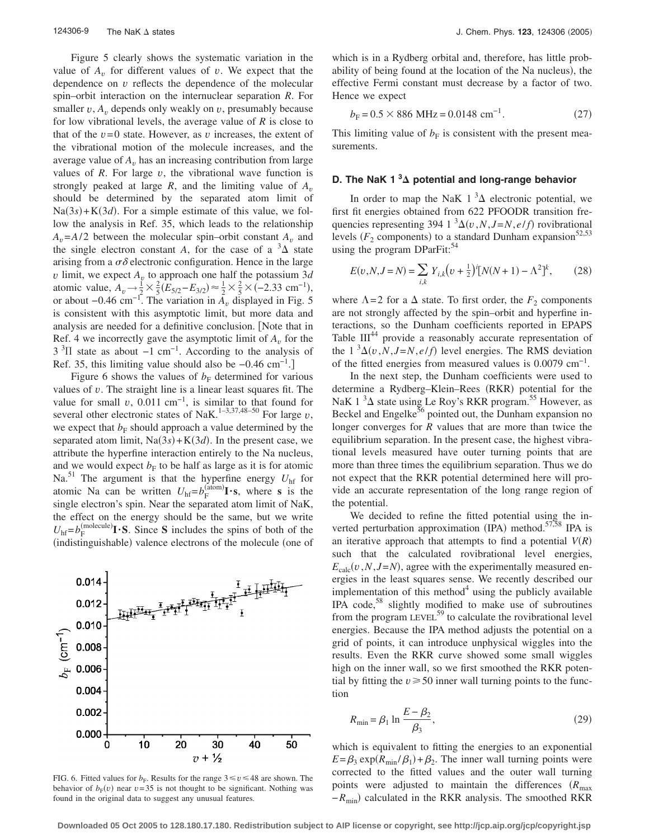Figure 5 clearly shows the systematic variation in the value of  $A<sub>v</sub>$  for different values of  $v$ . We expect that the dependence on *v* reflects the dependence of the molecular spin–orbit interaction on the internuclear separation *R*. For smaller  $v$ ,  $A<sub>v</sub>$  depends only weakly on  $v$ , presumably because for low vibrational levels, the average value of *R* is close to that of the  $v=0$  state. However, as  $v$  increases, the extent of the vibrational motion of the molecule increases, and the average value of  $A<sub>v</sub>$  has an increasing contribution from large values of  $R$ . For large  $v$ , the vibrational wave function is strongly peaked at large  $R$ , and the limiting value of  $A<sub>v</sub>$ should be determined by the separated atom limit of  $Na(3s) + K(3d)$ . For a simple estimate of this value, we follow the analysis in Ref. 35, which leads to the relationship  $A<sub>v</sub>=A/2$  between the molecular spin–orbit constant  $A<sub>v</sub>$  and the single electron constant *A*, for the case of a  ${}^{3}\Delta$  state arising from a  $\sigma\delta$  electronic configuration. Hence in the large *v* limit, we expect  $A<sub>v</sub>$  to approach one half the potassium 3*d* atomic value,  $A_v \rightarrow \frac{1}{2} \times \frac{2}{5} (E_{5/2} - E_{3/2}) \approx \frac{1}{2} \times \frac{2}{5} \times (-2.33 \text{ cm}^{-1}),$ or about  $-0.46$  cm<sup>-1</sup>. The variation in  $A$ <sup>*n*</sup> displayed in Fig. 5 is consistent with this asymptotic limit, but more data and analysis are needed for a definitive conclusion. Note that in Ref. 4 we incorrectly gave the asymptotic limit of  $A<sub>v</sub>$  for the  $3<sup>3</sup>\Pi$  state as about -1 cm<sup>-1</sup>. According to the analysis of Ref. 35, this limiting value should also be −0.46 cm<sup>-1</sup>.]

Figure 6 shows the values of  $b_F$  determined for various values of *v*. The straight line is a linear least squares fit. The value for small  $v$ , 0.011 cm<sup>-1</sup>, is similar to that found for several other electronic states of NaK.<sup>1–3,37,48–50</sup> For large  $v$ , we expect that  $b_F$  should approach a value determined by the separated atom limit,  $Na(3s) + K(3d)$ . In the present case, we attribute the hyperfine interaction entirely to the Na nucleus, and we would expect  $b_F$  to be half as large as it is for atomic Na.<sup>51</sup> The argument is that the hyperfine energy  $U_{hf}$  for atomic Na can be written  $U_{\text{hf}} = b_{\text{F}}^{(\text{aform})} \mathbf{I} \cdot \mathbf{s}$ , where **s** is the single electron's spin. Near the separated atom limit of NaK, the effect on the energy should be the same, but we write  $U_{\text{hf}} = b_{\text{F}}^{(\text{molecule})} \mathbf{I} \cdot \mathbf{S}$ . Since **S** includes the spins of both of the (indistinguishable) valence electrons of the molecule (one of



FIG. 6. Fitted values for  $b_F$ . Results for the range  $3 \le v \le 48$  are shown. The behavior of  $b_F(v)$  near  $v=35$  is not thought to be significant. Nothing was found in the original data to suggest any unusual features.

which is in a Rydberg orbital and, therefore, has little probability of being found at the location of the Na nucleus), the effective Fermi constant must decrease by a factor of two. Hence we expect

$$
b_{\rm F} = 0.5 \times 886 \text{ MHz} = 0.0148 \text{ cm}^{-1}.
$$
 (27)

This limiting value of  $b_F$  is consistent with the present measurements.

# **D. The NaK 1 <sup>3</sup> potential and long-range behavior**

In order to map the NaK  $1 \, \mathrm{^3\Delta}$  electronic potential, we first fit energies obtained from 622 PFOODR transition frequencies representing 394 1  ${}^{3}\Delta(v, N, J=N, e/f)$  rovibrational levels ( $F_2$  components) to a standard Dunham expansion<sup>52,53</sup> using the program DParFit:<sup>54</sup>

$$
E(v, N, J = N) = \sum_{i,k} Y_{i,k} (v + \frac{1}{2})^{i} [N(N+1) - \Lambda^{2}]^{k}, \qquad (28)
$$

where  $\Lambda$ =2 for a  $\Delta$  state. To first order, the  $F_2$  components are not strongly affected by the spin–orbit and hyperfine interactions, so the Dunham coefficients reported in EPAPS Table  $III^{44}$  provide a reasonably accurate representation of the  $1 \sqrt[3]{2(v, N, J=N, e/f)}$  level energies. The RMS deviation of the fitted energies from measured values is  $0.0079$  cm<sup>-1</sup>.

In the next step, the Dunham coefficients were used to determine a Rydberg-Klein-Rees (RKR) potential for the NaK  $1 \, \mathrm{^3\Delta}$  state using Le Roy's RKR program.<sup>55</sup> However, as Beckel and Engelke<sup>56</sup> pointed out, the Dunham expansion no longer converges for *R* values that are more than twice the equilibrium separation. In the present case, the highest vibrational levels measured have outer turning points that are more than three times the equilibrium separation. Thus we do not expect that the RKR potential determined here will provide an accurate representation of the long range region of the potential.

We decided to refine the fitted potential using the inverted perturbation approximation (IPA) method.<sup>57,58</sup> IPA is an iterative approach that attempts to find a potential  $V(R)$ such that the calculated rovibrational level energies,  $E_{\text{calc}}(v, N, J=N)$ , agree with the experimentally measured energies in the least squares sense. We recently described our implementation of this method $4$  using the publicly available IPA code, $58$  slightly modified to make use of subroutines from the program LEVEL<sup>59</sup> to calculate the rovibrational level energies. Because the IPA method adjusts the potential on a grid of points, it can introduce unphysical wiggles into the results. Even the RKR curve showed some small wiggles high on the inner wall, so we first smoothed the RKR potential by fitting the  $v \ge 50$  inner wall turning points to the function

$$
R_{\min} = \beta_1 \ln \frac{E - \beta_2}{\beta_3},\tag{29}
$$

which is equivalent to fitting the energies to an exponential  $E = \beta_3 \exp(R_{\text{min}}/\beta_1) + \beta_2$ . The inner wall turning points were corrected to the fitted values and the outer wall turning points were adjusted to maintain the differences ( $R_{\text{max}}$ )  $-R$ <sub>min</sub>) calculated in the RKR analysis. The smoothed RKR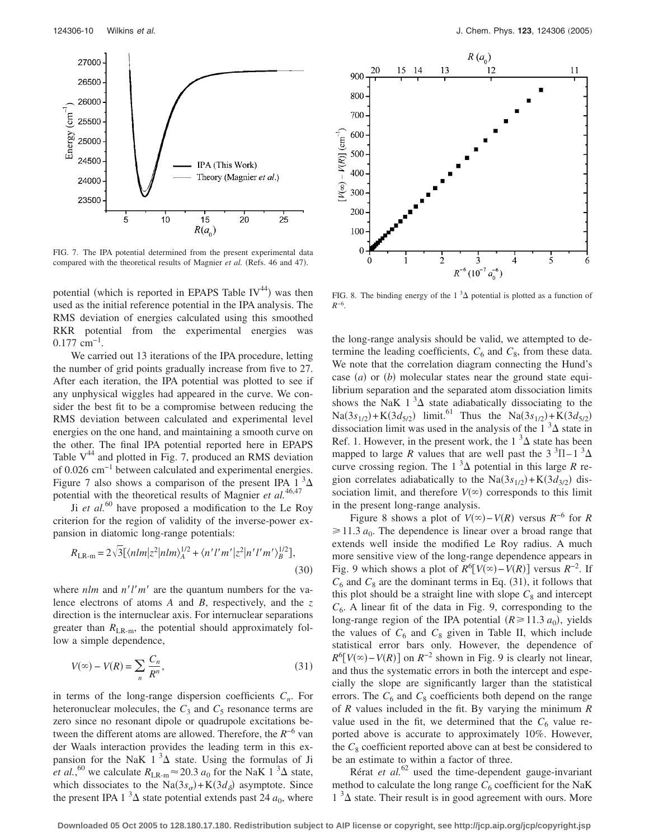

FIG. 7. The IPA potential determined from the present experimental data compared with the theoretical results of Magnier et al. (Refs. 46 and 47).

potential (which is reported in EPAPS Table  $IV^{44}$ ) was then used as the initial reference potential in the IPA analysis. The RMS deviation of energies calculated using this smoothed RKR potential from the experimental energies was 0.177 cm−1.

We carried out 13 iterations of the IPA procedure, letting the number of grid points gradually increase from five to 27. After each iteration, the IPA potential was plotted to see if any unphysical wiggles had appeared in the curve. We consider the best fit to be a compromise between reducing the RMS deviation between calculated and experimental level energies on the one hand, and maintaining a smooth curve on the other. The final IPA potential reported here in EPAPS Table  $V^{44}$  and plotted in Fig. 7, produced an RMS deviation of 0.026 cm−1 between calculated and experimental energies. Figure 7 also shows a comparison of the present IPA 1  $3\Delta$ potential with the theoretical results of Magnier *et al.*46,47

Ji *et al.*<sup>60</sup> have proposed a modification to the Le Roy criterion for the region of validity of the inverse-power expansion in diatomic long-range potentials:

$$
R_{\text{LR-m}} = 2\sqrt{3} [\langle n l m | z^2 | n l m \rangle_A^{1/2} + \langle n' l' m' | z^2 | n' l' m' \rangle_B^{1/2}],
$$
\n(30)

where  $nlm$  and  $n'l'm'$  are the quantum numbers for the valence electrons of atoms *A* and *B*, respectively, and the *z* direction is the internuclear axis. For internuclear separations greater than  $R_{LR-m}$ , the potential should approximately follow a simple dependence,

$$
V(\infty) - V(R) = \sum_{n} \frac{C_n}{R^n},\tag{31}
$$

in terms of the long-range dispersion coefficients  $C_n$ . For heteronuclear molecules, the  $C_3$  and  $C_5$  resonance terms are zero since no resonant dipole or quadrupole excitations between the different atoms are allowed. Therefore, the *R*−6 van der Waals interaction provides the leading term in this expansion for the NaK  $1^3\Delta$  state. Using the formulas of Ji *et al.*,<sup>60</sup> we calculate  $R_{LR-m} \approx 20.3 a_0$  for the NaK 1<sup>3</sup> $\Delta$  state, which dissociates to the  $\text{Na}(3s_{\sigma}) + \text{K}(3d_{\delta})$  asymptote. Since the present IPA 1<sup>3</sup> $\Delta$  state potential extends past 24  $a_0$ , where



FIG. 8. The binding energy of the  $1 \,^3\Delta$  potential is plotted as a function of *R*−6.

the long-range analysis should be valid, we attempted to determine the leading coefficients,  $C_6$  and  $C_8$ , from these data. We note that the correlation diagram connecting the Hund's case  $(a)$  or  $(b)$  molecular states near the ground state equilibrium separation and the separated atom dissociation limits shows the NaK  $1^3\Delta$  state adiabatically dissociating to the  $\text{Na}(3s_{1/2}) + \text{K}(3d_{5/2})$  limit.<sup>61</sup> Thus the  $\text{Na}(3s_{1/2}) + \text{K}(3d_{5/2})$ dissociation limit was used in the analysis of the  $1 \, \mathrm{^3\Delta}$  state in Ref. 1. However, in the present work, the 1  $^3\Delta$  state has been mapped to large *R* values that are well past the  $3 \text{ }^{3}\text{II}-1 \text{ }^{3}\Delta$ curve crossing region. The  $1^3\Delta$  potential in this large *R* region correlates adiabatically to the  $\text{Na}(3s_{1/2}) + \text{K}(3d_{3/2})$  dissociation limit, and therefore  $V(\infty)$  corresponds to this limit in the present long-range analysis.

Figure 8 shows a plot of  $V(\infty) - V(R)$  versus  $R^{-6}$  for  $R$  $\geq 11.3 a_0$ . The dependence is linear over a broad range that extends well inside the modified Le Roy radius. A much more sensitive view of the long-range dependence appears in Fig. 9 which shows a plot of  $R^6[V(\infty) - V(R)]$  versus  $R^{-2}$ . If  $C_6$  and  $C_8$  are the dominant terms in Eq. (31), it follows that this plot should be a straight line with slope  $C_8$  and intercept  $C_6$ . A linear fit of the data in Fig. 9, corresponding to the long-range region of the IPA potential  $(R \ge 11.3 a_0)$ , yields the values of  $C_6$  and  $C_8$  given in Table II, which include statistical error bars only. However, the dependence of  $R^6[V(\infty) - V(R)]$  on  $R^{-2}$  shown in Fig. 9 is clearly not linear, and thus the systematic errors in both the intercept and especially the slope are significantly larger than the statistical errors. The  $C_6$  and  $C_8$  coefficients both depend on the range of *R* values included in the fit. By varying the minimum *R* value used in the fit, we determined that the  $C_6$  value reported above is accurate to approximately 10%. However, the  $C_8$  coefficient reported above can at best be considered to be an estimate to within a factor of three.

Rérat *et al.*<sup>62</sup> used the time-dependent gauge-invariant method to calculate the long range  $C_6$  coefficient for the NaK  $1 \,$ <sup>3</sup> $\Delta$  state. Their result is in good agreement with ours. More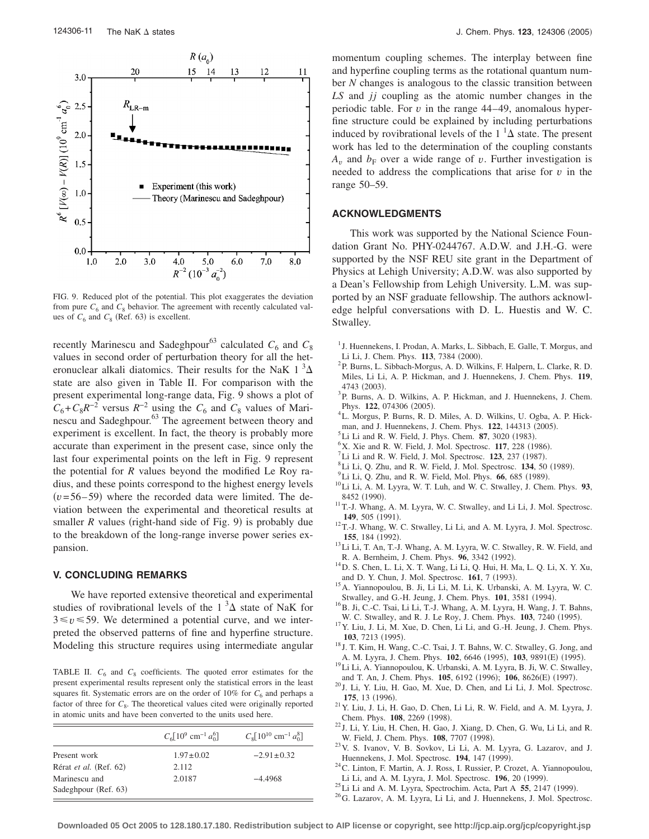

FIG. 9. Reduced plot of the potential. This plot exaggerates the deviation from pure  $C_6$  and  $C_8$  behavior. The agreement with recently calculated values of  $C_6$  and  $C_8$  (Ref. 63) is excellent.

recently Marinescu and Sadeghpour<sup>63</sup> calculated  $C_6$  and  $C_8$ values in second order of perturbation theory for all the heteronuclear alkali diatomics. Their results for the NaK  $1^3\Delta$ state are also given in Table II. For comparison with the present experimental long-range data, Fig. 9 shows a plot of  $C_6 + C_8 R^{-2}$  versus  $R^{-2}$  using the  $C_6$  and  $C_8$  values of Marinescu and Sadeghpour.<sup>63</sup> The agreement between theory and experiment is excellent. In fact, the theory is probably more accurate than experiment in the present case, since only the last four experimental points on the left in Fig. 9 represent the potential for *R* values beyond the modified Le Roy radius, and these points correspond to the highest energy levels  $(v= 56-59)$  where the recorded data were limited. The deviation between the experimental and theoretical results at smaller  $R$  values (right-hand side of Fig. 9) is probably due to the breakdown of the long-range inverse power series expansion.

#### **V. CONCLUDING REMARKS**

We have reported extensive theoretical and experimental studies of rovibrational levels of the  $1<sup>3</sup>\Delta$  state of NaK for  $3 \le v \le 59$ . We determined a potential curve, and we interpreted the observed patterns of fine and hyperfine structure. Modeling this structure requires using intermediate angular

TABLE II.  $C_6$  and  $C_8$  coefficients. The quoted error estimates for the present experimental results represent only the statistical errors in the least squares fit. Systematic errors are on the order of  $10\%$  for  $C_6$  and perhaps a factor of three for  $C_8$ . The theoretical values cited were originally reported in atomic units and have been converted to the units used here.

|                                       | $C_6[10^9 \text{ cm}^{-1} a_0^6]$ | $C_8[10^{10}$ cm <sup>-1</sup> $a_0^8]$ |
|---------------------------------------|-----------------------------------|-----------------------------------------|
| Present work                          | $1.97 \pm 0.02$                   | $-2.91 \pm 0.32$                        |
| Rérat et al. (Ref. 62)                | 2.112                             |                                         |
| Marinescu and<br>Sadeghpour (Ref. 63) | 2.0187                            | $-4.4968$                               |

momentum coupling schemes. The interplay between fine and hyperfine coupling terms as the rotational quantum number *N* changes is analogous to the classic transition between *LS* and *jj* coupling as the atomic number changes in the periodic table. For *v* in the range 44–49, anomalous hyperfine structure could be explained by including perturbations induced by rovibrational levels of the  $1^{-1}\Delta$  state. The present work has led to the determination of the coupling constants  $A_v$  and  $b_F$  over a wide range of v. Further investigation is needed to address the complications that arise for *v* in the range 50–59.

#### **ACKNOWLEDGMENTS**

This work was supported by the National Science Foundation Grant No. PHY-0244767. A.D.W. and J.H.-G. were supported by the NSF REU site grant in the Department of Physics at Lehigh University; A.D.W. was also supported by a Dean's Fellowship from Lehigh University. L.M. was supported by an NSF graduate fellowship. The authors acknowledge helpful conversations with D. L. Huestis and W. C. Stwalley.

- <sup>1</sup> J. Huennekens, I. Prodan, A. Marks, L. Sibbach, E. Galle, T. Morgus, and Li Li, J. Chem. Phys.  $113$ , 7384 (2000).
- <sup>2</sup>P. Burns, L. Sibbach-Morgus, A. D. Wilkins, F. Halpern, L. Clarke, R. D. Miles, Li Li, A. P. Hickman, and J. Huennekens, J. Chem. Phys. **119**, 4743 (2003).
- . <sup>3</sup> P. Burns, A. D. Wilkins, A. P. Hickman, and J. Huennekens, J. Chem. Phys. **122**, 074306 (2005).
- <sup>4</sup>L. Morgus, P. Burns, R. D. Miles, A. D. Wilkins, U. Ogba, A. P. Hick-
- man, and J. Huennekens, J. Chem. Phys.  $122$ ,  $144313$  (2005).<br><sup>5</sup>Li Li and B. W. Field, J. Phys. Chem. **87**, 2020 (1083).
- $^{5}$ Li Li and R. W. Field, J. Phys. Chem. **87**, 3020 (1983).
- <sup>6</sup>X. Xie and R. W. Field, J. Mol. Spectrosc. **117**, 228 (1986).
- Li Li and R. W. Field, J. Mol. Spectrosc. **123**, 237 (1987).
- <sup>8</sup> Li Li, Q. Zhu, and R. W. Field, J. Mol. Spectrosc. **134**, 50 (1989).
- <sup>9</sup>Li Li, Q. Zhu, and R. W. Field, Mol. Phys. **66**, 685 (1989).
- . 10Li Li, A. M. Lyyra, W. T. Luh, and W. C. Stwalley, J. Chem. Phys. **<sup>93</sup>**, 8452 (1990)
- $11$ T.-J. Whang, A. M. Lyyra, W. C. Stwalley, and Li Li, J. Mol. Spectrosc. 149, 505 (1991).
- <sup>12</sup> T.-J. Whang, W. C. Stwalley, Li Li, and A. M. Lyyra, J. Mol. Spectrosc. 155, 184 (1992).
- $13$ Li Li, T. An, T.-J. Whang, A. M. Lyyra, W. C. Stwalley, R. W. Field, and R. A. Bernheim, J. Chem. Phys.  $96$ , 3342 (1992).
- . 14D. S. Chen, L. Li, X. T. Wang, Li Li, Q. Hui, H. Ma, L. Q. Li, X. Y. Xu, and D. Y. Chun, J. Mol. Spectrosc. **161**, 7 (1993).
- $^{15}$  A. Yiannopoulou, B. Ji, Li Li, M. Li, K. Urbanski, A. M. Lyyra, W. C. Stwalley, and G.-H. Jeung, J. Chem. Phys. **101**, 3581 (1994).
- $^{16}$ B. Ji, C.-C. Tsai, Li Li, T.-J. Whang, A. M. Lyyra, H. Wang, J. T. Bahns, W. C. Stwalley, and R. J. Le Roy, J. Chem. Phys. **103**, 7240 (1995).
- <sup>17</sup> Y. Liu, J. Li, M. Xue, D. Chen, Li Li, and G.-H. Jeung, J. Chem. Phys. **103**, 7213 (1995).
- <sup>18</sup> J. T. Kim, H. Wang, C.-C. Tsai, J. T. Bahns, W. C. Stwalley, G. Jong, and A. M. Lyyra, J. Chem. Phys. 102, 6646 (1995), 103, 9891(E) (1995)
- <sup>19</sup>Li Li, A. Yiannopoulou, K. Urbanski, A. M. Lyyra, B. Ji, W. C. Stwalley, and T. An, J. Chem. Phys. **105**, 6192 (1996); **106**, 8626(E) (1997)
- <sup>20</sup> J. Li, Y. Liu, H. Gao, M. Xue, D. Chen, and Li Li, J. Mol. Spectrosc. **175**, 13 (1996).
- $21$ Y. Liu, J. Li, H. Gao, D. Chen, Li Li, R. W. Field, and A. M. Lyyra, J. Chem. Phys. **108**, 2269 (1998).
- $^{22}$  J. Li, Y. Liu, H. Chen, H. Gao, J. Xiang, D. Chen, G. Wu, Li Li, and R. W. Field, J. Chem. Phys. **108**, 7707 (1998).
- <sup>23</sup> V. S. Ivanov, V. B. Sovkov, Li Li, A. M. Lyyra, G. Lazarov, and J. Huennekens, J. Mol. Spectrosc. 194, 147 (1999).
- $^{24}$  C. Linton, F. Martin, A. J. Ross, I. Russier, P. Crozet, A. Yiannopoulou,
- Li Li, and A. M. Lyyra, J. Mol. Spectrosc. **196**, 20 (1999).
- $^{25}$ Li Li and A. M. Lyyra, Spectrochim. Acta, Part A 55, 2147 (1999).
- <sup>26</sup>G. Lazarov, A. M. Lyyra, Li Li, and J. Huennekens, J. Mol. Spectrosc.